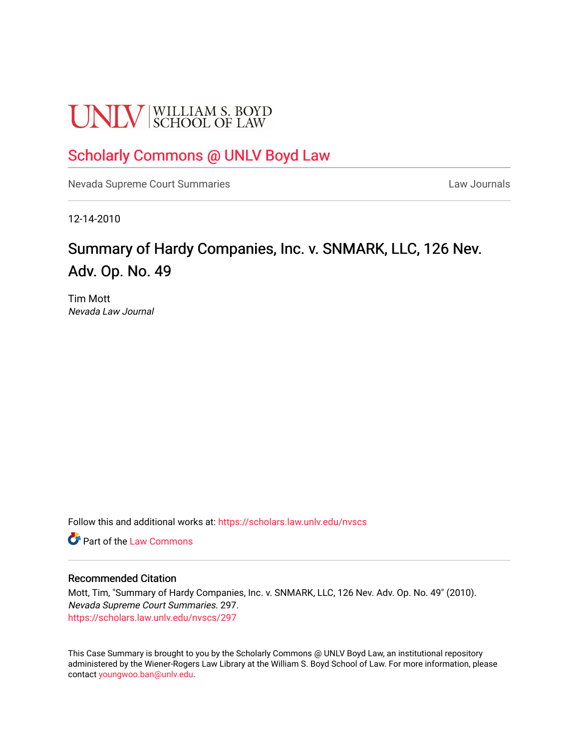# **UNLV** SCHOOL OF LAW

### [Scholarly Commons @ UNLV Boyd Law](https://scholars.law.unlv.edu/)

[Nevada Supreme Court Summaries](https://scholars.law.unlv.edu/nvscs) **Law Journals** Law Journals

12-14-2010

## Summary of Hardy Companies, Inc. v. SNMARK, LLC, 126 Nev. Adv. Op. No. 49

Tim Mott Nevada Law Journal

Follow this and additional works at: [https://scholars.law.unlv.edu/nvscs](https://scholars.law.unlv.edu/nvscs?utm_source=scholars.law.unlv.edu%2Fnvscs%2F297&utm_medium=PDF&utm_campaign=PDFCoverPages)

**C** Part of the [Law Commons](http://network.bepress.com/hgg/discipline/578?utm_source=scholars.law.unlv.edu%2Fnvscs%2F297&utm_medium=PDF&utm_campaign=PDFCoverPages)

#### Recommended Citation

Mott, Tim, "Summary of Hardy Companies, Inc. v. SNMARK, LLC, 126 Nev. Adv. Op. No. 49" (2010). Nevada Supreme Court Summaries. 297. [https://scholars.law.unlv.edu/nvscs/297](https://scholars.law.unlv.edu/nvscs/297?utm_source=scholars.law.unlv.edu%2Fnvscs%2F297&utm_medium=PDF&utm_campaign=PDFCoverPages)

This Case Summary is brought to you by the Scholarly Commons @ UNLV Boyd Law, an institutional repository administered by the Wiener-Rogers Law Library at the William S. Boyd School of Law. For more information, please contact [youngwoo.ban@unlv.edu](mailto:youngwoo.ban@unlv.edu).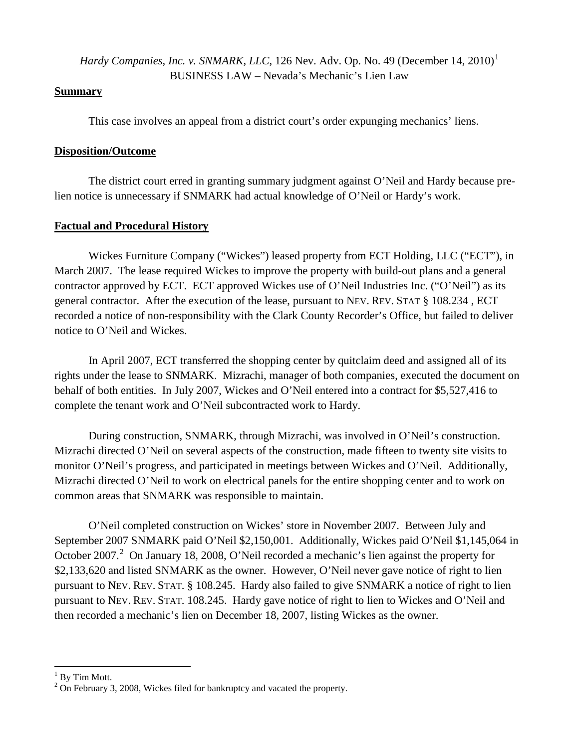*Hardy Companies, Inc. v. SNMARK, LLC, [1](#page-1-0)26 Nev. Adv. Op. No. 49 (December 14, 2010)*<sup>1</sup> BUSINESS LAW – Nevada's Mechanic's Lien Law

#### **Summary**

This case involves an appeal from a district court's order expunging mechanics' liens.

#### **Disposition/Outcome**

The district court erred in granting summary judgment against O'Neil and Hardy because prelien notice is unnecessary if SNMARK had actual knowledge of O'Neil or Hardy's work.

#### **Factual and Procedural History**

Wickes Furniture Company ("Wickes") leased property from ECT Holding, LLC ("ECT"), in March 2007. The lease required Wickes to improve the property with build-out plans and a general contractor approved by ECT. ECT approved Wickes use of O'Neil Industries Inc. ("O'Neil") as its general contractor. After the execution of the lease, pursuant to NEV. REV. STAT § 108.234 , ECT recorded a notice of non-responsibility with the Clark County Recorder's Office, but failed to deliver notice to O'Neil and Wickes.

In April 2007, ECT transferred the shopping center by quitclaim deed and assigned all of its rights under the lease to SNMARK. Mizrachi, manager of both companies, executed the document on behalf of both entities. In July 2007, Wickes and O'Neil entered into a contract for \$5,527,416 to complete the tenant work and O'Neil subcontracted work to Hardy.

During construction, SNMARK, through Mizrachi, was involved in O'Neil's construction. Mizrachi directed O'Neil on several aspects of the construction, made fifteen to twenty site visits to monitor O'Neil's progress, and participated in meetings between Wickes and O'Neil. Additionally, Mizrachi directed O'Neil to work on electrical panels for the entire shopping center and to work on common areas that SNMARK was responsible to maintain.

O'Neil completed construction on Wickes' store in November 2007. Between July and September 2007 SNMARK paid O'Neil \$2,150,001. Additionally, Wickes paid O'Neil \$1,145,064 in October [2](#page-1-1)007.<sup>2</sup> On January 18, 2008, O'Neil recorded a mechanic's lien against the property for \$2,133,620 and listed SNMARK as the owner. However, O'Neil never gave notice of right to lien pursuant to NEV. REV. STAT. § 108.245. Hardy also failed to give SNMARK a notice of right to lien pursuant to NEV. REV. STAT. 108.245. Hardy gave notice of right to lien to Wickes and O'Neil and then recorded a mechanic's lien on December 18, 2007, listing Wickes as the owner.

<span id="page-1-1"></span><span id="page-1-0"></span><sup>&</sup>lt;sup>1</sup> By Tim Mott.<br><sup>2</sup> On February 3, 2008, Wickes filed for bankruptcy and vacated the property.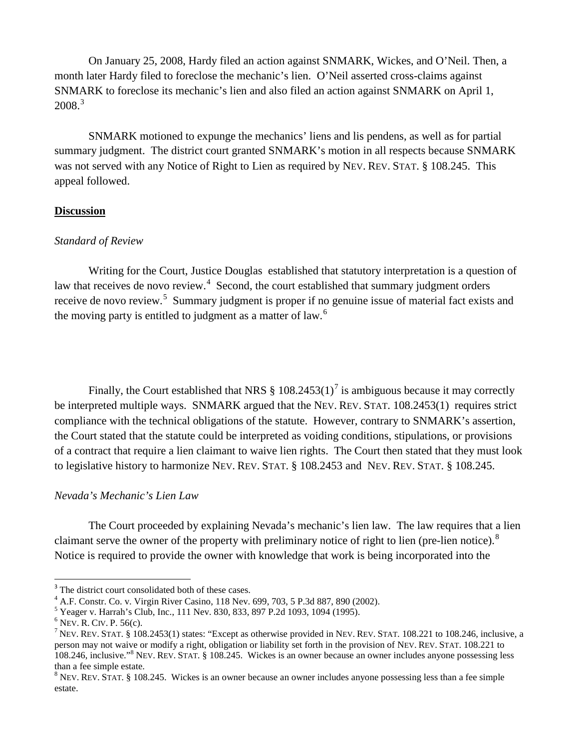On January 25, 2008, Hardy filed an action against SNMARK, Wickes, and O'Neil. Then, a month later Hardy filed to foreclose the mechanic's lien. O'Neil asserted cross-claims against SNMARK to foreclose its mechanic's lien and also filed an action against SNMARK on April 1,  $2008.<sup>3</sup>$  $2008.<sup>3</sup>$  $2008.<sup>3</sup>$ 

SNMARK motioned to expunge the mechanics' liens and lis pendens, as well as for partial summary judgment. The district court granted SNMARK's motion in all respects because SNMARK was not served with any Notice of Right to Lien as required by NEV. REV. STAT. § 108.245. This appeal followed.

#### **Discussion**

#### *Standard of Review*

Writing for the Court, Justice Douglas established that statutory interpretation is a question of law that receives de novo review. $4$  Second, the court established that summary judgment orders receive de novo review.<sup>[5](#page-2-2)</sup> Summary judgment is proper if no genuine issue of material fact exists and the moving party is entitled to judgment as a matter of law.<sup>[6](#page-2-3)</sup>

Finally, the Court established that NRS  $\S 108.2453(1)^7$  $\S 108.2453(1)^7$  is ambiguous because it may correctly be interpreted multiple ways. SNMARK argued that the NEV. REV. STAT. 108.2453(1) requires strict compliance with the technical obligations of the statute. However, contrary to SNMARK's assertion, the Court stated that the statute could be interpreted as voiding conditions, stipulations, or provisions of a contract that require a lien claimant to waive lien rights. The Court then stated that they must look to legislative history to harmonize NEV. REV. STAT. § 108.2453 and NEV. REV. STAT. § 108.245.

#### *Nevada's Mechanic's Lien Law*

The Court proceeded by explaining Nevada's mechanic's lien law. The law requires that a lien claimant serve the owner of the property with preliminary notice of right to lien (pre-lien notice). $8$ Notice is required to provide the owner with knowledge that work is being incorporated into the

<sup>&</sup>lt;sup>3</sup> The district court consolidated both of these cases.

<span id="page-2-0"></span><sup>&</sup>lt;sup>4</sup> A.F. Constr. Co. v. Virgin River Casino, 118 Nev. 699, 703, 5 P.3d 887, 890 (2002).<br><sup>5</sup> Yeager v. Harrah's Club, Inc., 111 Nev. 830, 833, 897 P.2d 1093, 1094 (1995).

<span id="page-2-1"></span>

<span id="page-2-4"></span>

<span id="page-2-3"></span><span id="page-2-2"></span><sup>&</sup>lt;sup>6</sup> Nev. R. CIV. P. 56(c).<br><sup>7</sup> Nev. Rev. STAT. § 108.2453(1) states: "Except as otherwise provided in Nev. Rev. STAT. 108.221 to 108.246, inclusive, a person may not waive or modify a right, obligation or liability set forth in the provision of NEV. REV. STAT. 108.221 to 108.246, inclusive."<sup>8</sup> NEV. REV. STAT. § 108.245. Wickes is an owner because an owner includes anyone possessing less

<span id="page-2-5"></span> $8$  NEV. REV. STAT. § 108.245. Wickes is an owner because an owner includes anyone possessing less than a fee simple estate.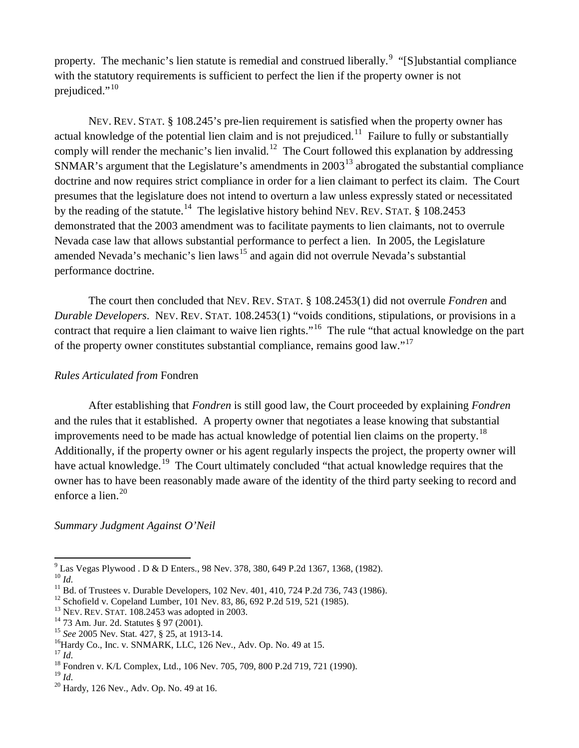property. The mechanic's lien statute is remedial and construed liberally.<sup>[9](#page-3-0)</sup> "[S]ubstantial compliance with the statutory requirements is sufficient to perfect the lien if the property owner is not prejudiced."<sup>[10](#page-3-1)</sup>

NEV. REV. STAT. § 108.245's pre-lien requirement is satisfied when the property owner has actual knowledge of the potential lien claim and is not prejudiced.<sup>[11](#page-3-2)</sup> Failure to fully or substantially comply will render the mechanic's lien invalid.<sup>[12](#page-3-3)</sup> The Court followed this explanation by addressing SNMAR's argument that the Legislature's amendments in  $2003<sup>13</sup>$  $2003<sup>13</sup>$  $2003<sup>13</sup>$  abrogated the substantial compliance doctrine and now requires strict compliance in order for a lien claimant to perfect its claim. The Court presumes that the legislature does not intend to overturn a law unless expressly stated or necessitated by the reading of the statute.<sup>14</sup> The legislative history behind NEV. REV. STAT.  $\S$  108.2453 demonstrated that the 2003 amendment was to facilitate payments to lien claimants, not to overrule Nevada case law that allows substantial performance to perfect a lien. In 2005, the Legislature amended Nevada's mechanic's lien laws<sup>[15](#page-3-6)</sup> and again did not overrule Nevada's substantial performance doctrine.

The court then concluded that NEV. REV. STAT. § 108.2453(1) did not overrule *Fondren* and *Durable Developers*. NEV. REV. STAT. 108.2453(1) "voids conditions, stipulations, or provisions in a contract that require a lien claimant to waive lien rights."<sup>[16](#page-3-7)</sup> The rule "that actual knowledge on the part of the property owner constitutes substantial compliance, remains good law."<sup>[17](#page-3-8)</sup>

#### *Rules Articulated from* Fondren

After establishing that *Fondren* is still good law, the Court proceeded by explaining *Fondren* and the rules that it established. A property owner that negotiates a lease knowing that substantial improvements need to be made has actual knowledge of potential lien claims on the property.<sup>[18](#page-3-9)</sup> Additionally, if the property owner or his agent regularly inspects the project, the property owner will have actual knowledge.<sup>[19](#page-3-10)</sup> The Court ultimately concluded "that actual knowledge requires that the owner has to have been reasonably made aware of the identity of the third party seeking to record and enforce a lien. $20$ 

*Summary Judgment Against O'Neil*

<span id="page-3-0"></span><sup>&</sup>lt;sup>9</sup> Las Vegas Plywood . D & D Enters., 98 Nev. 378, 380, 649 P.2d 1367, 1368, (1982).<br><sup>10</sup> *Id.*<br><sup>11</sup> Bd. of Trustees v. Durable Developers, 102 Nev. 401, 410, 724 P.2d 736, 743 (1986).<br><sup>12</sup> Schofield v. Copeland Lumber, 1

<span id="page-3-2"></span><span id="page-3-1"></span>

<span id="page-3-3"></span>

<span id="page-3-4"></span>

<span id="page-3-5"></span>

<span id="page-3-6"></span>

<span id="page-3-8"></span><span id="page-3-7"></span>

<span id="page-3-11"></span><span id="page-3-10"></span><span id="page-3-9"></span><sup>&</sup>lt;sup>19</sup> *Id.* 20 Hardy, 126 Nev., Adv. Op. No. 49 at 16.